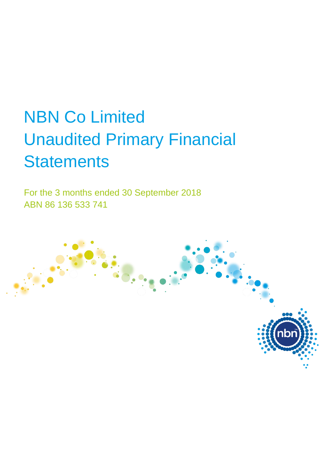# NBN Co Limited Unaudited Primary Financial **Statements**

For the 3 months ended 30 September 2018 ABN 86 136 533 741

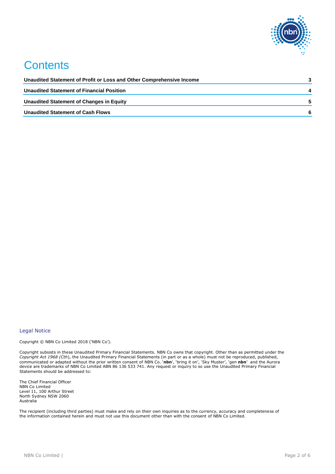

#### **Contents**

| Unaudited Statement of Profit or Loss and Other Comprehensive Income |  |
|----------------------------------------------------------------------|--|
| Unaudited Statement of Financial Position                            |  |
| Unaudited Statement of Changes in Equity                             |  |
| Unaudited Statement of Cash Flows                                    |  |

#### Legal Notice

Copyright © NBN Co Limited 2018 ('NBN Co').

Copyright subsists in these Unaudited Primary Financial Statements. NBN Co owns that copyright. Other than as permitted under the *Copyright Act 1968 (Cth*), the Unaudited Primary Financial Statements (in part or as a whole) must not be reproduced, published, communicated or adapted without the prior written consent of NBN Co. '**nbn**', 'bring it on', 'Sky Muster', 'gen **nbn**' and the Aurora device are trademarks of NBN Co Limited ABN 86 136 533 741. Any request or inquiry to so use the Unaudited Primary Financial Statements should be addressed to:

The Chief Financial Officer NBN Co Limited Level 11, 100 Arthur Street North Sydney NSW 2060 Australia

The recipient (including third parties) must make and rely on their own inquiries as to the currency, accuracy and completeness of the information contained herein and must not use this document other than with the consent of NBN Co Limited.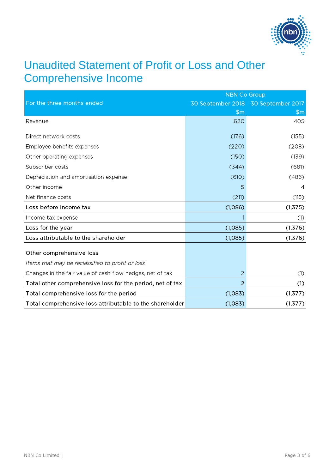

#### <span id="page-2-0"></span>Unaudited Statement of Profit or Loss and Other Comprehensive Income

|                                                           | <b>NBN Co Group</b> |                                     |  |
|-----------------------------------------------------------|---------------------|-------------------------------------|--|
| For the three months ended                                |                     | 30 September 2018 30 September 2017 |  |
|                                                           | $\mathsf{Sm}$       | \$m                                 |  |
| Revenue                                                   | 620                 | 405                                 |  |
| Direct network costs                                      | (176)               | (155)                               |  |
| Employee benefits expenses                                | (220)               | (208)                               |  |
| Other operating expenses                                  | (150)               | (139)                               |  |
| Subscriber costs                                          | (344)               | (681)                               |  |
| Depreciation and amortisation expense                     | (610)               | (486)                               |  |
| Other income                                              | 5                   | 4                                   |  |
| Net finance costs                                         | (211)               | (115)                               |  |
| Loss before income tax                                    | (1,086)             | (1,375)                             |  |
| Income tax expense                                        |                     | (1)                                 |  |
| Loss for the year                                         | (1,085)             | (1, 376)                            |  |
| Loss attributable to the shareholder                      | (1,085)             | (1,376)                             |  |
| Other comprehensive loss                                  |                     |                                     |  |
| Items that may be reclassified to profit or loss          |                     |                                     |  |
| Changes in the fair value of cash flow hedges, net of tax | 2                   | (1)                                 |  |
| Total other comprehensive loss for the period, net of tax | $\overline{2}$      | (1)                                 |  |
| Total comprehensive loss for the period                   | (1,083)             | (1, 377)                            |  |
| Total comprehensive loss attributable to the shareholder  | (1,083)             | (1, 377)                            |  |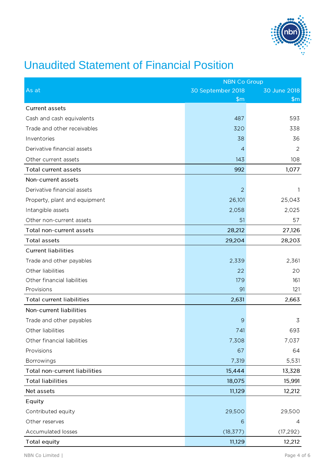

### <span id="page-3-0"></span>Unaudited Statement of Financial Position

|                                      | <b>NBN Co Group</b> |              |  |
|--------------------------------------|---------------------|--------------|--|
| As at                                | 30 September 2018   | 30 June 2018 |  |
|                                      | \$m                 | \$m\$        |  |
| <b>Current assets</b>                |                     |              |  |
| Cash and cash equivalents            | 487                 | 593          |  |
| Trade and other receivables          | 320                 | 338          |  |
| Inventories                          | 38                  | 36           |  |
| Derivative financial assets          | 4                   | 2            |  |
| Other current assets                 | 143                 | 108          |  |
| <b>Total current assets</b>          | 992                 | 1,077        |  |
| Non-current assets                   |                     |              |  |
| Derivative financial assets          | $\overline{2}$      |              |  |
| Property, plant and equipment        | 26,101              | 25,043       |  |
| Intangible assets                    | 2,058               | 2,025        |  |
| Other non-current assets             | 51                  | 57           |  |
| Total non-current assets             | 28,212              | 27,126       |  |
| <b>Total assets</b>                  | 29,204              | 28,203       |  |
| <b>Current liabilities</b>           |                     |              |  |
| Trade and other payables             | 2,339               | 2,361        |  |
| Other liabilities                    | 22                  | 20           |  |
| Other financial liabilities          | 179                 | 161          |  |
| Provisions                           | 91                  | 121          |  |
| <b>Total current liabilities</b>     | 2,631               | 2,663        |  |
| Non-current liabilities              |                     |              |  |
| Trade and other payables             | 9                   | 3            |  |
| Other liabilities                    | 741                 | 693          |  |
| Other financial liabilities          | 7,308               | 7,037        |  |
| Provisions                           | 67                  | 64           |  |
| Borrowings                           | 7,319               | 5,531        |  |
| <b>Total non-current liabilities</b> | 15,444              | 13,328       |  |
| <b>Total liabilities</b>             | 18,075              | 15,991       |  |
| Net assets                           | 11,129              | 12,212       |  |
| Equity                               |                     |              |  |
| Contributed equity                   | 29,500              | 29,500       |  |
| Other reserves                       | 6                   | 4            |  |
| Accumulated losses                   | (18, 377)           | (17, 292)    |  |
| Total equity                         | 11,129              | 12,212       |  |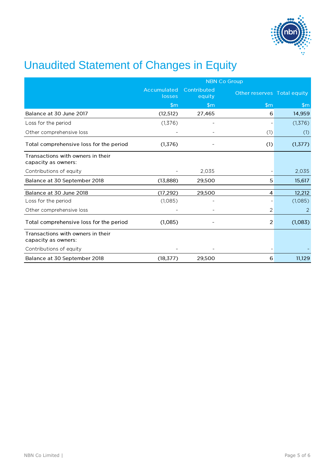

## <span id="page-4-0"></span>Unaudited Statement of Changes in Equity

|                                                          | <b>NBN Co Group</b>   |                       |                             |          |
|----------------------------------------------------------|-----------------------|-----------------------|-----------------------------|----------|
|                                                          | Accumulated<br>losses | Contributed<br>equity | Other reserves Total equity |          |
|                                                          | \$m\$                 | \$m                   | $\mathsf{m}$                | \$m      |
| Balance at 30 June 2017                                  | (12, 512)             | 27,465                | 6                           | 14,959   |
| Loss for the period                                      | (1,376)               |                       |                             | (1, 376) |
| Other comprehensive loss                                 |                       |                       | (1)                         | (1)      |
| Total comprehensive loss for the period                  | (1,376)               |                       | (1)                         | (1, 377) |
| Transactions with owners in their<br>capacity as owners: |                       |                       |                             |          |
| Contributions of equity                                  |                       | 2.035                 |                             | 2,035    |
| Balance at 30 September 2018                             | (13,888)              | 29,500                | 5                           | 15,617   |
| Balance at 30 June 2018                                  | (17, 292)             | 29,500                | $\overline{4}$              | 12,212   |
| Loss for the period                                      | (1,085)               |                       |                             | (1,085)  |
| Other comprehensive loss                                 |                       |                       | 2                           | 2        |
| Total comprehensive loss for the period                  | (1,085)               |                       | $\overline{2}$              | (1,083)  |
| Transactions with owners in their<br>capacity as owners: |                       |                       |                             |          |
| Contributions of equity                                  |                       |                       | $\qquad \qquad -$           |          |
| Balance at 30 September 2018                             | (18, 377)             | 29,500                | 6                           | 11,129   |